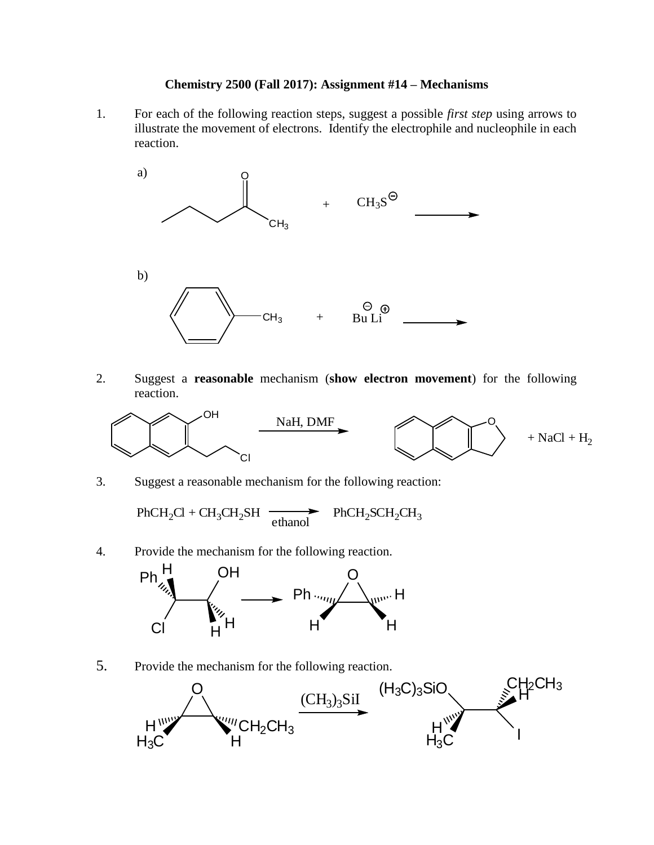## **Chemistry 2500 (Fall 2017): Assignment #14 – Mechanisms**

1. For each of the following reaction steps, suggest a possible *first step* using arrows to illustrate the movement of electrons. Identify the electrophile and nucleophile in each reaction.



2. Suggest a **reasonable** mechanism (**show electron movement**) for the following reaction.



3. Suggest a reasonable mechanism for the following reaction:

 $PhCH_2Cl + CH_3CH_2SH$  $\longrightarrow$  PhCH<sub>2</sub>SCH<sub>2</sub>CH<sub>3</sub>

4. Provide the mechanism for the following reaction.



5. Provide the mechanism for the following reaction.

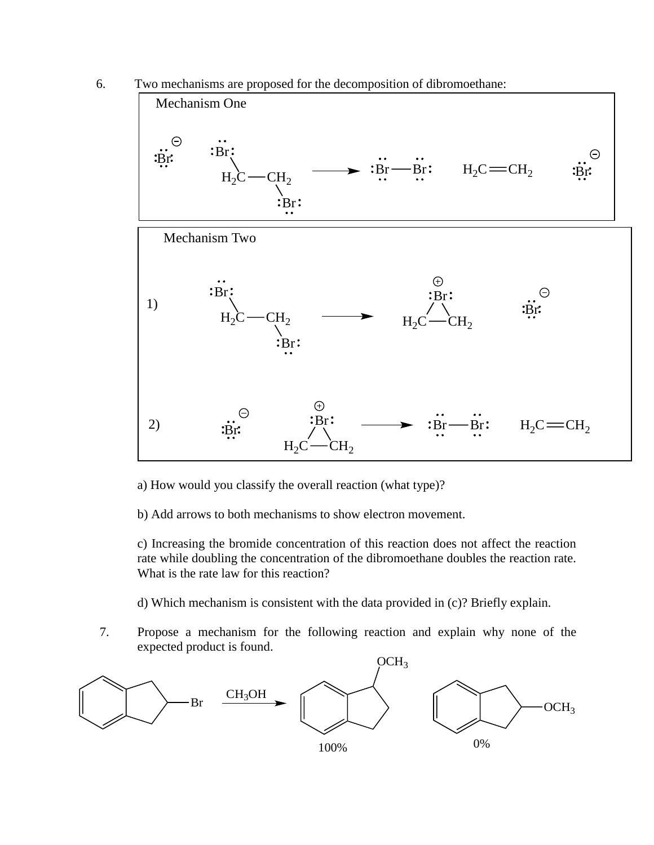6. Two mechanisms are proposed for the decomposition of dibromoethane:



a) How would you classify the overall reaction (what type)?

b) Add arrows to both mechanisms to show electron movement.

c) Increasing the bromide concentration of this reaction does not affect the reaction rate while doubling the concentration of the dibromoethane doubles the reaction rate. What is the rate law for this reaction?

d) Which mechanism is consistent with the data provided in (c)? Briefly explain.

7. Propose a mechanism for the following reaction and explain why none of the expected product is found.